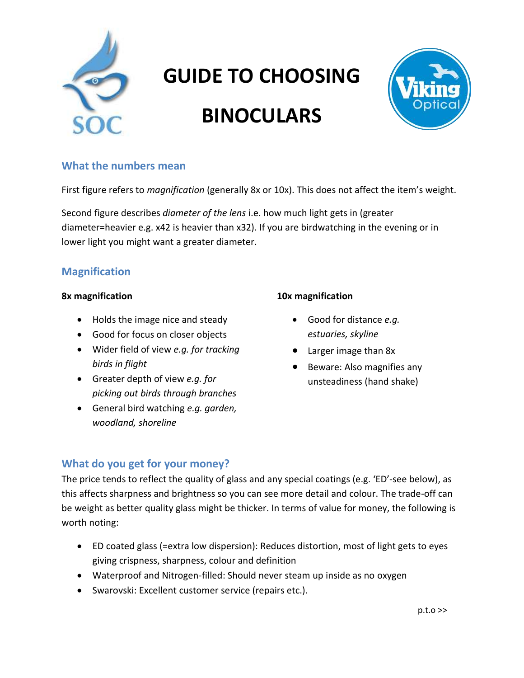

# **GUIDE TO CHOOSING**

# **BINOCULARS**



## **What the numbers mean**

First figure refers to *magnification* (generally 8x or 10x). This does not affect the item's weight.

Second figure describes *diameter of the lens* i.e. how much light gets in (greater diameter=heavier e.g. x42 is heavier than x32). If you are birdwatching in the evening or in lower light you might want a greater diameter.

## **Magnification**

#### **8x magnification**

- Holds the image nice and steady
- Good for focus on closer objects
- Wider field of view *e.g. for tracking birds in flight*
- Greater depth of view *e.g. for picking out birds through branches*
- General bird watching *e.g. garden, woodland, shoreline*

### **10x magnification**

- Good for distance *e.g. estuaries, skyline*
- Larger image than 8x
- Beware: Also magnifies any unsteadiness (hand shake)

## **What do you get for your money?**

The price tends to reflect the quality of glass and any special coatings (e.g. 'ED'-see below), as this affects sharpness and brightness so you can see more detail and colour. The trade-off can be weight as better quality glass might be thicker. In terms of value for money, the following is worth noting:

- ED coated glass (=extra low dispersion): Reduces distortion, most of light gets to eyes giving crispness, sharpness, colour and definition
- Waterproof and Nitrogen-filled: Should never steam up inside as no oxygen
- Swarovski: Excellent customer service (repairs etc.).